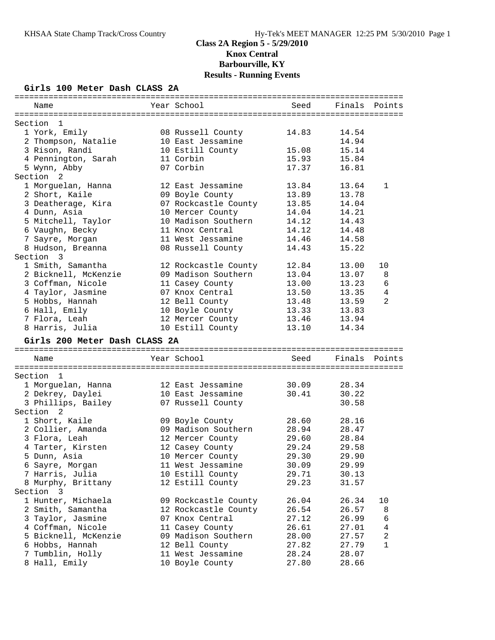### **Girls 100 Meter Dash CLASS 2A**

| Name                                      | Year School                                 | Seed           | Finals         | Points         |
|-------------------------------------------|---------------------------------------------|----------------|----------------|----------------|
|                                           |                                             |                |                |                |
| Section<br>$\mathbf{1}$                   |                                             |                |                |                |
| 1 York, Emily                             | 08 Russell County                           | 14.83          | 14.54          |                |
| 2 Thompson, Natalie                       | 10 East Jessamine                           |                | 14.94          |                |
| 3 Rison, Randi                            | 10 Estill County                            | 15.08          | 15.14          |                |
| 4 Pennington, Sarah                       | 11 Corbin                                   | 15.93          | 15.84          |                |
| 5 Wynn, Abby                              | 07 Corbin                                   | 17.37          | 16.81          |                |
| Section <sub>2</sub>                      |                                             |                |                |                |
| 1 Morguelan, Hanna                        | 12 East Jessamine                           | 13.84          | 13.64          | 1              |
| 2 Short, Kaile                            | 09 Boyle County                             | 13.89          | 13.78          |                |
| 3 Deatherage, Kira                        | 07 Rockcastle County                        | 13.85          | 14.04          |                |
| 4 Dunn, Asia                              | 10 Mercer County                            | 14.04          | 14.21          |                |
| 5 Mitchell, Taylor                        | 10 Madison Southern                         | 14.12          | 14.43          |                |
| 6 Vaughn, Becky                           | 11 Knox Central<br>11 West Jessamine        | 14.12<br>14.46 | 14.48          |                |
| 7 Sayre, Morgan                           |                                             |                | 14.58          |                |
| 8 Hudson, Breanna<br>Section 3            | 08 Russell County                           | 14.43          | 15.22          |                |
| 1 Smith, Samantha                         |                                             | 12.84          | 13.00          | 10             |
|                                           | 12 Rockcastle County<br>09 Madison Southern | 13.04          | 13.07          |                |
| 2 Bicknell, McKenzie<br>3 Coffman, Nicole |                                             |                |                | 8<br>6         |
| 4 Taylor, Jasmine                         | 11 Casey County<br>07 Knox Central          | 13.00<br>13.50 | 13.23<br>13.35 | $\overline{4}$ |
| 5 Hobbs, Hannah                           | 12 Bell County                              | 13.48          | 13.59          | $\overline{2}$ |
| 6 Hall, Emily                             | 10 Boyle County                             | 13.33          | 13.83          |                |
| 7 Flora, Leah                             | 12 Mercer County                            | 13.46          | 13.94          |                |
| 8 Harris, Julia                           | 10 Estill County                            | 13.10          | 14.34          |                |
|                                           |                                             |                |                |                |
| Girls 200 Meter Dash CLASS 2A             |                                             |                |                |                |
| Name                                      | Year School                                 | Seed           | Finals         | Points         |
|                                           |                                             |                |                |                |
| Section<br>1                              |                                             | 30.09          |                |                |
| 1 Morguelan, Hanna                        | 12 East Jessamine<br>10 East Jessamine      | 30.41          | 28.34<br>30.22 |                |
| 2 Dekrey, Daylei<br>3 Phillips, Bailey    | 07 Russell County                           |                | 30.58          |                |
| Section 2                                 |                                             |                |                |                |
| 1 Short, Kaile                            | 09 Boyle County                             | 28.60          | 28.16          |                |
| 2 Collier, Amanda                         | 09 Madison Southern                         | 28.94          | 28.47          |                |
| 3 Flora, Leah                             | 12 Mercer County                            | 29.60          | 28.84          |                |
| 4 Tarter, Kirsten                         | 12 Casey County                             | 29.24          | 29.58          |                |
| 5 Dunn, Asia                              | 10 Mercer County                            | 29.30          | 29.90          |                |
| 6 Sayre, Morgan                           | 11 West Jessamine                           | 30.09          | 29.99          |                |
| 7 Harris, Julia                           | 10 Estill County                            | 29.71          | 30.13          |                |
| 8 Murphy, Brittany                        | 12 Estill County                            | 29.23          | 31.57          |                |
| Section 3                                 |                                             |                |                |                |
| 1 Hunter, Michaela                        | 09 Rockcastle County                        | 26.04          | 26.34          | 10             |
| 2 Smith, Samantha                         | 12 Rockcastle County                        | 26.54          | 26.57          | 8              |
| 3 Taylor, Jasmine                         | 07 Knox Central                             | 27.12          | 26.99          | 6              |
| 4 Coffman, Nicole                         | 11 Casey County                             | 26.61          | 27.01          | 4              |
|                                           |                                             |                |                |                |
|                                           |                                             |                |                |                |
| 5 Bicknell, McKenzie                      | 09 Madison Southern                         | 28.00          | 27.57<br>27.79 | 2<br>1         |
| 6 Hobbs, Hannah<br>7 Tumblin, Holly       | 12 Bell County<br>11 West Jessamine         | 27.82<br>28.24 | 28.07          |                |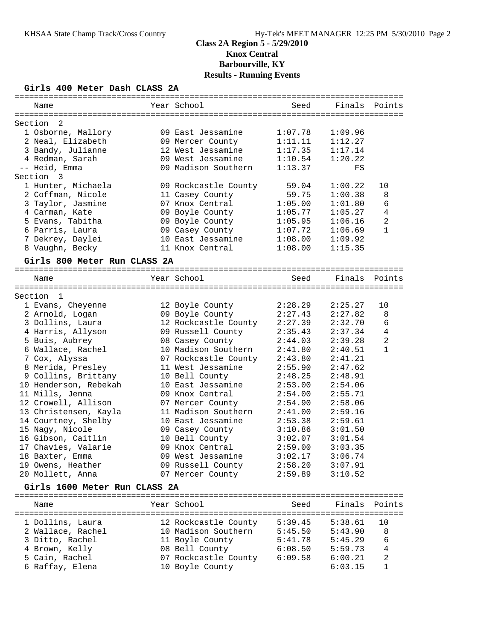### **Girls 400 Meter Dash CLASS 2A**

| Name                               | Year School          | Seed    | Finals        | Points         |
|------------------------------------|----------------------|---------|---------------|----------------|
| -2<br>Section                      |                      |         |               |                |
| 1 Osborne, Mallory                 | 09 East Jessamine    | 1:07.78 | 1:09.96       |                |
| 2 Neal, Elizabeth                  | 09 Mercer County     | 1:11.11 | 1:12.27       |                |
| 3 Bandy, Julianne                  | 12 West Jessamine    | 1:17.35 | 1:17.14       |                |
| 4 Redman, Sarah                    | 09 West Jessamine    | 1:10.54 | 1:20.22       |                |
| -- Heid, Emma                      | 09 Madison Southern  | 1:13.37 | FS            |                |
| Section<br>$\overline{\mathbf{3}}$ |                      |         |               |                |
| 1 Hunter, Michaela                 | 09 Rockcastle County | 59.04   | 1:00.22       | 10             |
| 2 Coffman, Nicole                  | 11 Casey County      | 59.75   | 1:00.38       | 8              |
| 3 Taylor, Jasmine                  | 07 Knox Central      | 1:05.00 | 1:01.80       | 6              |
| 4 Carman, Kate                     | 09 Boyle County      | 1:05.77 | 1:05.27       | $\overline{4}$ |
| 5 Evans, Tabitha                   | 09 Boyle County      | 1:05.95 | 1:06.16       | 2              |
| 6 Parris, Laura                    | 09 Casey County      | 1:07.72 | 1:06.69       | $\mathbf{1}$   |
| 7 Dekrey, Daylei                   | 10 East Jessamine    | 1:08.00 | 1:09.92       |                |
| 8 Vaughn, Becky                    | 11 Knox Central      | 1:08.00 | 1:15.35       |                |
| Girls 800 Meter Run CLASS 2A       |                      |         |               |                |
|                                    |                      |         |               |                |
| Name                               | Year School          | Seed    | Finals Points |                |
| Section 1                          |                      |         |               |                |
| 1 Evans, Cheyenne                  | 12 Boyle County      | 2:28.29 | 2:25.27       | 10             |
| 2 Arnold, Logan                    | 09 Boyle County      | 2:27.43 | 2:27.82       | 8              |
| 3 Dollins, Laura                   | 12 Rockcastle County | 2:27.39 | 2:32.70       | 6              |
| 4 Harris, Allyson                  | 09 Russell County    | 2:35.43 | 2:37.34       | $\overline{4}$ |
| 5 Buis, Aubrey                     | 08 Casey County      | 2:44.03 | 2:39.28       | $\overline{a}$ |
| 6 Wallace, Rachel                  | 10 Madison Southern  | 2:41.80 | 2:40.51       | 1              |
| 7 Cox, Alyssa                      | 07 Rockcastle County | 2:43.80 | 2:41.21       |                |
| 8 Merida, Presley                  | 11 West Jessamine    | 2:55.90 | 2:47.62       |                |
| 9 Collins, Brittany                | 10 Bell County       | 2:48.25 | 2:48.91       |                |
| 10 Henderson, Rebekah              | 10 East Jessamine    | 2:53.00 | 2:54.06       |                |
| 11 Mills, Jenna                    | 09 Knox Central      | 2:54.00 | 2:55.71       |                |
| 12 Crowell, Allison                | 07 Mercer County     | 2:54.90 | 2:58.06       |                |
| 13 Christensen, Kayla              | 11 Madison Southern  | 2:41.00 | 2:59.16       |                |
| 14 Courtney, Shelby                | 10 East Jessamine    | 2:53.38 | 2:59.61       |                |
| 15 Nagy, Nicole                    | 09 Casey County      | 3:10.86 | 3:01.50       |                |
| 16 Gibson, Caitlin                 | 10 Bell County       | 3:02.07 | 3:01.54       |                |
| 17 Chavies, Valarie                | 09 Knox Central      | 2:59.00 | 3:03.35       |                |
| 18 Baxter, Emma                    | 09 West Jessamine    | 3:02.17 | 3:06.74       |                |
| 19 Owens, Heather                  | 09 Russell County    | 2:58.20 | 3:07.91       |                |
| 20 Mollett, Anna                   | 07 Mercer County     | 2:59.89 | 3:10.52       |                |
|                                    |                      |         |               |                |
| Girls 1600 Meter Run CLASS 2A      |                      |         |               |                |
| Name                               | Year School          | Seed    | Finals        | Points         |
| 1 Dollins, Laura                   | 12 Rockcastle County | 5:39.45 | 5:38.61       | 10             |
| 2 Wallace, Rachel                  | 10 Madison Southern  | 5:45.50 | 5:43.90       | 8              |

 3 Ditto, Rachel 11 Boyle County 5:41.78 5:45.29 6 4 Brown, Kelly 08 Bell County 6:08.50 5:59.73 4 5 Cain, Rachel 07 Rockcastle County 6:09.58 6:00.21 2 6 Raffay, Elena 10 Boyle County 6:03.15 1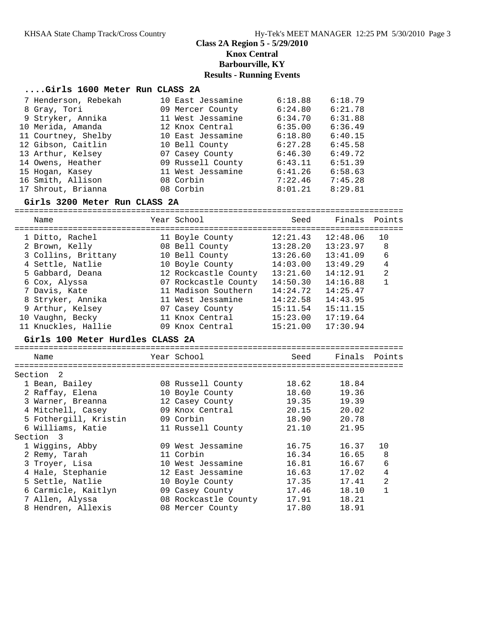### **....Girls 1600 Meter Run CLASS 2A**

| 7 Henderson, Rebekah | 10 East Jessamine | 6:18.88 | 6:18.79 |
|----------------------|-------------------|---------|---------|
| 8 Gray, Tori         | 09 Mercer County  | 6:24.80 | 6:21.78 |
| 9 Stryker, Annika    | 11 West Jessamine | 6:34.70 | 6:31.88 |
| 10 Merida, Amanda    | 12 Knox Central   | 6:35.00 | 6:36.49 |
| 11 Courtney, Shelby  | 10 East Jessamine | 6:18.80 | 6:40.15 |
| 12 Gibson, Caitlin   | 10 Bell County    | 6:27.28 | 6:45.58 |
| 13 Arthur, Kelsey    | 07 Casey County   | 6:46.30 | 6:49.72 |
| 14 Owens, Heather    | 09 Russell County | 6:43.11 | 6:51.39 |
| 15 Hogan, Kasey      | 11 West Jessamine | 6:41.26 | 6:58.63 |
| 16 Smith, Allison    | 08 Corbin         | 7:22.46 | 7:45.28 |
| 17 Shrout, Brianna   | 08 Corbin         | 8:01.21 | 8:29.81 |

### **Girls 3200 Meter Run CLASS 2A**

================================================================================ Name Year School Seed Finals Points ================================================================================ 1 Ditto, Rachel 11 Boyle County 12:21.43 12:48.06 10 2 Brown, Kelly 08 Bell County 13:28.20 13:23.97 8 3 Collins, Brittany 10 Bell County 13:26.60 13:41.09 6 4 Settle, Natlie 10 Boyle County 14:03.00 13:49.29 4 5 Gabbard, Deana 12 Rockcastle County 13:21.60 14:12.91 2 6 Cox, Alyssa 07 Rockcastle County 14:50.30 14:16.88 1 7 Davis, Kate 11 Madison Southern 14:24.72 14:25.47 8 Stryker, Annika 11 West Jessamine 14:22.58 14:43.95 9 Arthur, Kelsey 07 Casey County 15:11.54 15:11.15 10 Vaughn, Becky 11 Knox Central 15:23.00 17:19.64 11 Knuckles, Hallie 09 Knox Central 15:21.00 17:30.94

### **Girls 100 Meter Hurdles CLASS 2A**

| Name |                                                                                                                                                                                                                                                                                                                | Seed                                                                                                                                                                                                                                                                                      |       |               |
|------|----------------------------------------------------------------------------------------------------------------------------------------------------------------------------------------------------------------------------------------------------------------------------------------------------------------|-------------------------------------------------------------------------------------------------------------------------------------------------------------------------------------------------------------------------------------------------------------------------------------------|-------|---------------|
|      |                                                                                                                                                                                                                                                                                                                |                                                                                                                                                                                                                                                                                           |       |               |
| - 2  |                                                                                                                                                                                                                                                                                                                |                                                                                                                                                                                                                                                                                           |       |               |
|      |                                                                                                                                                                                                                                                                                                                | 18.62                                                                                                                                                                                                                                                                                     | 18.84 |               |
|      |                                                                                                                                                                                                                                                                                                                | 18.60                                                                                                                                                                                                                                                                                     | 19.36 |               |
|      |                                                                                                                                                                                                                                                                                                                | 19.35                                                                                                                                                                                                                                                                                     | 19.39 |               |
|      |                                                                                                                                                                                                                                                                                                                | 20.15                                                                                                                                                                                                                                                                                     | 20.02 |               |
|      |                                                                                                                                                                                                                                                                                                                | 18.90                                                                                                                                                                                                                                                                                     | 20.78 |               |
|      |                                                                                                                                                                                                                                                                                                                | 21.10                                                                                                                                                                                                                                                                                     | 21.95 |               |
| - 3  |                                                                                                                                                                                                                                                                                                                |                                                                                                                                                                                                                                                                                           |       |               |
|      |                                                                                                                                                                                                                                                                                                                | 16.75                                                                                                                                                                                                                                                                                     | 16.37 | 10            |
|      |                                                                                                                                                                                                                                                                                                                | 16.34                                                                                                                                                                                                                                                                                     | 16.65 | 8             |
|      |                                                                                                                                                                                                                                                                                                                | 16.81                                                                                                                                                                                                                                                                                     | 16.67 | 6             |
|      |                                                                                                                                                                                                                                                                                                                | 16.63                                                                                                                                                                                                                                                                                     | 17.02 | 4             |
|      |                                                                                                                                                                                                                                                                                                                | 17.35                                                                                                                                                                                                                                                                                     | 17.41 | 2             |
|      |                                                                                                                                                                                                                                                                                                                | 17.46                                                                                                                                                                                                                                                                                     | 18.10 |               |
|      |                                                                                                                                                                                                                                                                                                                | 17.91                                                                                                                                                                                                                                                                                     | 18.21 |               |
|      |                                                                                                                                                                                                                                                                                                                | 17.80                                                                                                                                                                                                                                                                                     | 18.91 |               |
|      | Section<br>1 Bean, Bailey<br>2 Raffay, Elena<br>3 Warner, Breanna<br>4 Mitchell, Casey<br>5 Fothergill, Kristin<br>6 Williams, Katie<br>Section<br>1 Wiggins, Abby<br>2 Remy, Tarah<br>3 Troyer, Lisa<br>4 Hale, Stephanie<br>5 Settle, Natlie<br>6 Carmicle, Kaitlyn<br>7 Allen, Alyssa<br>8 Hendren, Allexis | Year School<br>08 Russell County<br>10 Boyle County<br>12 Casey County<br>09 Knox Central<br>09 Corbin<br>11 Russell County<br>09 West Jessamine<br>11 Corbin<br>10 West Jessamine<br>12 East Jessamine<br>10 Boyle County<br>09 Casey County<br>08 Rockcastle County<br>08 Mercer County |       | Finals Points |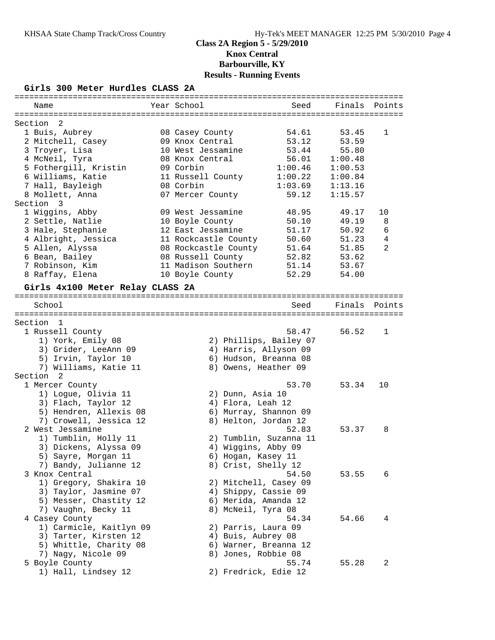### **Girls 300 Meter Hurdles CLASS 2A**

| Name                             | Year School          | Seed                   | Finals  | Points         |
|----------------------------------|----------------------|------------------------|---------|----------------|
|                                  |                      |                        |         |                |
| Section 2<br>1 Buis, Aubrey      | 08 Casey County      | 54.61                  | 53.45   | 1              |
|                                  |                      |                        |         |                |
| 2 Mitchell, Casey                | 09 Knox Central      | 53.12                  | 53.59   |                |
| 3 Troyer, Lisa                   | 10 West Jessamine    | 53.44                  | 55.80   |                |
| 4 McNeil, Tyra                   | 08 Knox Central      | 56.01                  | 1:00.48 |                |
| 5 Fothergill, Kristin            | 09 Corbin            | 1:00.46                | 1:00.53 |                |
| 6 Williams, Katie                | 11 Russell County    | 1:00.22                | 1:00.84 |                |
| 7 Hall, Bayleigh                 | 08 Corbin            | 1:03.69                | 1:13.16 |                |
| 8 Mollett, Anna                  | 07 Mercer County     | 59.12                  | 1:15.57 |                |
| Section<br>-3                    |                      |                        |         |                |
| 1 Wiggins, Abby                  | 09 West Jessamine    | 48.95                  | 49.17   | 10             |
| 2 Settle, Natlie                 | 10 Boyle County      | 50.10                  | 49.19   | 8              |
| 3 Hale, Stephanie                | 12 East Jessamine    | 51.17                  | 50.92   | 6              |
| 4 Albright, Jessica              | 11 Rockcastle County | 50.60                  | 51.23   | $\,4$          |
| 5 Allen, Alyssa                  | 08 Rockcastle County | 51.64                  | 51.85   | $\overline{2}$ |
| 6 Bean, Bailey                   | 08 Russell County    | 52.82                  | 53.62   |                |
| 7 Robinson, Kim                  | 11 Madison Southern  | 51.14                  | 53.67   |                |
| 8 Raffay, Elena                  | 10 Boyle County      | 52.29                  | 54.00   |                |
| Girls 4x100 Meter Relay CLASS 2A |                      |                        |         |                |
|                                  |                      |                        |         |                |
| School                           |                      | Seed                   | Finals  | Points         |
| Section<br>$\mathbf{1}$          |                      |                        |         |                |
| 1 Russell County                 |                      | 58.47                  | 56.52   | 1              |
| 1) York, Emily 08                |                      | 2) Phillips, Bailey 07 |         |                |
| 3) Grider, LeeAnn 09             |                      | 4) Harris, Allyson 09  |         |                |
|                                  |                      |                        |         |                |
| 5) Irvin, Taylor 10              |                      | 6) Hudson, Breanna 08  |         |                |
| 7) Williams, Katie 11            |                      | 8) Owens, Heather 09   |         |                |
| Section<br>-2                    |                      |                        |         |                |
| 1 Mercer County                  |                      | 53.70                  | 53.34   | 10             |
| 1) Logue, Olivia 11              |                      | 2) Dunn, Asia 10       |         |                |
| 3) Flach, Taylor 12              |                      | 4) Flora, Leah 12      |         |                |
| 5) Hendren, Allexis 08           |                      | 6) Murray, Shannon 09  |         |                |
| 7) Crowell, Jessica 12           |                      | 8) Helton, Jordan 12   |         |                |
| 2 West Jessamine                 |                      | 52.83                  | 53.37   | 8              |
| 1) Tumblin, Holly 11             |                      | 2) Tumblin, Suzanna 11 |         |                |
| 3) Dickens, Alyssa 09            |                      | 4) Wiggins, Abby 09    |         |                |
| 5) Sayre, Morgan 11              |                      | 6) Hogan, Kasey 11     |         |                |
| 7) Bandy, Julianne 12            |                      | 8) Crist, Shelly 12    |         |                |
| 3 Knox Central                   |                      | 54.50                  | 53.55   | 6              |
| 1) Gregory, Shakira 10           |                      | 2) Mitchell, Casey 09  |         |                |
| 3) Taylor, Jasmine 07            |                      | 4) Shippy, Cassie 09   |         |                |
| 5) Messer, Chastity 12           |                      | 6) Merida, Amanda 12   |         |                |
| 7) Vaughn, Becky 11              |                      | 8) McNeil, Tyra 08     |         |                |
| 4 Casey County                   |                      | 54.34                  | 54.66   | 4              |
| 1) Carmicle, Kaitlyn 09          |                      | 2) Parris, Laura 09    |         |                |
| 3) Tarter, Kirsten 12            |                      | 4) Buis, Aubrey 08     |         |                |
| 5) Whittle, Charity 08           |                      | 6) Warner, Breanna 12  |         |                |
| 7) Nagy, Nicole 09               |                      | 8) Jones, Robbie 08    |         |                |
| 5 Boyle County                   |                      | 55.74                  | 55.28   | 2              |
| 1) Hall, Lindsey 12              |                      | 2) Fredrick, Edie 12   |         |                |
|                                  |                      |                        |         |                |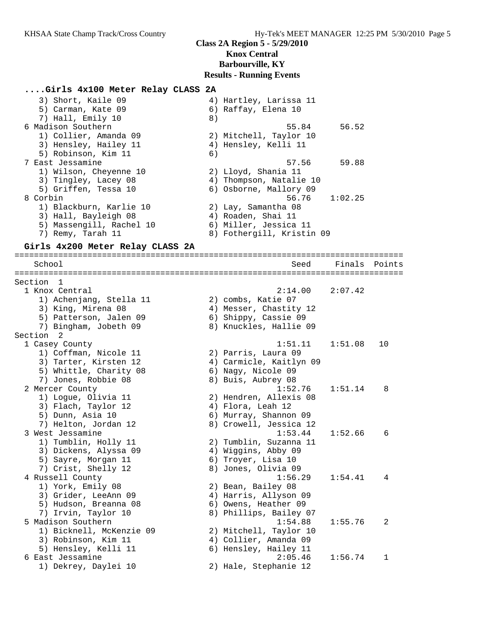# **....Girls 4x100 Meter Relay CLASS 2A**

| 3) Short, Kaile 09       | 4) Hartley, Larissa 11    |
|--------------------------|---------------------------|
| 5) Carman, Kate 09       | 6) Raffay, Elena 10       |
| 7) Hall, Emily 10        | 8)                        |
| 6 Madison Southern       | 56.52<br>55.84            |
| 1) Collier, Amanda 09    | 2) Mitchell, Taylor 10    |
| 3) Hensley, Hailey 11    | 4) Hensley, Kelli 11      |
| 5) Robinson, Kim 11      | 6)                        |
| 7 East Jessamine         | 59.88<br>57.56            |
| 1) Wilson, Cheyenne 10   | 2) Lloyd, Shania 11       |
| 3) Tingley, Lacey 08     | 4) Thompson, Natalie 10   |
| 5) Griffen, Tessa 10     | 6) Osborne, Mallory 09    |
| 8 Corbin                 | 1:02.25<br>56.76          |
| 1) Blackburn, Karlie 10  | 2) Lay, Samantha 08       |
| 3) Hall, Bayleigh 08     | 4) Roaden, Shai 11        |
| 5) Massengill, Rachel 10 | 6) Miller, Jessica 11     |
| 7) Remy, Tarah 11        | 8) Fothergill, Kristin 09 |

#### **Girls 4x200 Meter Relay CLASS 2A**

================================================================================ School Seed Finals Points ================================================================================ Section 1<br>1 Knox Central 1 Knox Central 2:14.00 2:07.42 1) Achenjang, Stella 11 2) combs, Katie 07 3) King, Mirena 08 4) Messer, Chastity 12 5) Patterson, Jalen 09 6) Shippy, Cassie 09 7) Bingham, Jobeth 09 8) Knuckles, Hallie 09 Section 2<br>1 Casey County 1 Casey County 1:51.11 1:51.08 10 1) Coffman, Nicole 11 2) Parris, Laura 09 3) Tarter, Kirsten 12 4) Carmicle, Kaitlyn 09 5) Whittle, Charity 08 6) Nagy, Nicole 09 7) Jones, Robbie 08 8) Buis, Aubrey 08 2 Mercer County 1:52.76 1:51.14 8 1) Logue, Olivia 11 2) Hendren, Allexis 08 3) Flach, Taylor 12 (4) Flora, Leah 12 5) Dunn, Asia 10 6) Murray, Shannon 09 7) Helton, Jordan 12 8) Crowell, Jessica 12 3 West Jessamine 1:53.44 1:52.66 6 1) Tumblin, Holly 11 2) Tumblin, Suzanna 11 3) Dickens, Alyssa 09 4) Wiggins, Abby 09 5) Sayre, Morgan 11 6) Troyer, Lisa 10 7) Crist, Shelly 12 (8) Jones, Olivia 09 4 Russell County 1:56.29 1:54.41 4 1) York, Emily 08 2) Bean, Bailey 08 3) Grider, LeeAnn 09 4) Harris, Allyson 09 5) Hudson, Breanna 08 6) Owens, Heather 09 7) Irvin, Taylor 10 8) Phillips, Bailey 07 5 Madison Southern 1:54.88 1:55.76 2 1) Bicknell, McKenzie 09 2) Mitchell, Taylor 10 3) Robinson, Kim 11 4) Collier, Amanda 09 5) Hensley, Kelli 11 6) Hensley, Hailey 11 6 East Jessamine 2:05.46 1:56.74 1 1) Dekrey, Daylei 10 2) Hale, Stephanie 12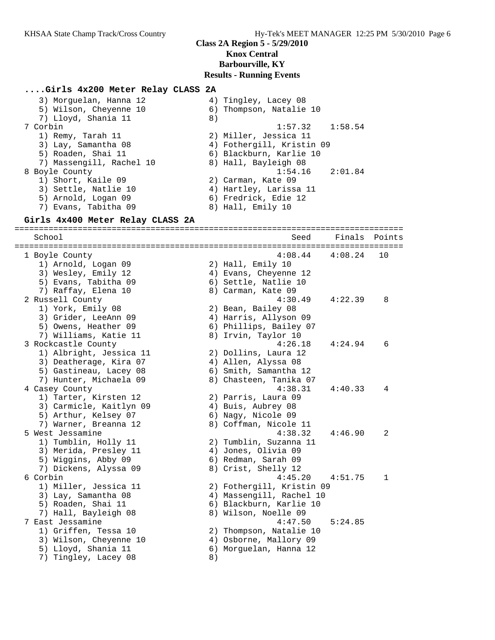### **....Girls 4x200 Meter Relay CLASS 2A**

| 3) Morguelan, Hanna 12   | 4) Tingley, Lacey 08      |
|--------------------------|---------------------------|
| 5) Wilson, Cheyenne 10   | 6) Thompson, Natalie 10   |
| 7) Lloyd, Shania 11      | 8)                        |
| 7 Corbin                 | $1:57.32$ $1:58.54$       |
| 1) Remy, Tarah 11        | 2) Miller, Jessica 11     |
| 3) Lay, Samantha 08      | 4) Fothergill, Kristin 09 |
| 5) Roaden, Shai 11       | 6) Blackburn, Karlie 10   |
| 7) Massengill, Rachel 10 | 8) Hall, Bayleigh 08      |
| 8 Boyle County           | $1:54.16$ $2:01.84$       |
| 1) Short, Kaile 09       | 2) Carman, Kate 09        |
| 3) Settle, Natlie 10     | 4) Hartley, Larissa 11    |
| 5) Arnold, Logan 09      | 6) Fredrick, Edie 12      |
| 7) Evans, Tabitha 09     | 8) Hall, Emily 10         |

### **Girls 4x400 Meter Relay CLASS 2A**

================================================================================ School Seed Finals Points ================================================================================ 1 Boyle County 4:08.44 4:08.24 10 1) Arnold, Logan 09 2) Hall, Emily 10 3) Wesley, Emily 12 4) Evans, Cheyenne 12 5) Evans, Tabitha 09 6) Settle, Natlie 10 7) Raffay, Elena 10 8) Carman, Kate 09 2 Russell County 4:30.49 4:22.39 8 1) York, Emily 08 2) Bean, Bailey 08 3) Grider, LeeAnn 09 4) Harris, Allyson 09 5) Owens, Heather 09 (6) Phillips, Bailey 07 7) Williams, Katie 11 and 8) Irvin, Taylor 10 3 Rockcastle County 4:26.18 4:24.94 6 1) Albright, Jessica 11 2) Dollins, Laura 12 3) Deatherage, Kira 07 (4) Allen, Alyssa 08 5) Gastineau, Lacey 08 6) Smith, Samantha 12 7) Hunter, Michaela 09 8) Chasteen, Tanika 07 4 Casey County 4:38.31 4:40.33 4 1) Tarter, Kirsten 12 2) Parris, Laura 09 3) Carmicle, Kaitlyn 09 4) Buis, Aubrey 08 5) Arthur, Kelsey 07 6) Nagy, Nicole 09 7) Warner, Breanna 12 8) Coffman, Nicole 11 5 West Jessamine 4:38.32 4:46.90 2 1) Tumblin, Holly 11 2) Tumblin, Suzanna 11 3) Merida, Presley 11 (4) Jones, Olivia 09 5) Wiggins, Abby 09 6) Redman, Sarah 09 7) Dickens, Alyssa 09 8) Crist, Shelly 12 6 Corbin 4:45.20 4:51.75 1 1) Miller, Jessica 11 2) Fothergill, Kristin 09 3) Lay, Samantha 08 4) Massengill, Rachel 10 5) Roaden, Shai 11 6) Blackburn, Karlie 10 7) Hall, Bayleigh 08 8) Wilson, Noelle 09 7 East Jessamine 4:47.50 5:24.85 1) Griffen, Tessa 10 2) Thompson, Natalie 10 3) Wilson, Cheyenne 10 4) Osborne, Mallory 09 5) Lloyd, Shania 11 6) Morguelan, Hanna 12 7) Tingley, Lacey 08 8)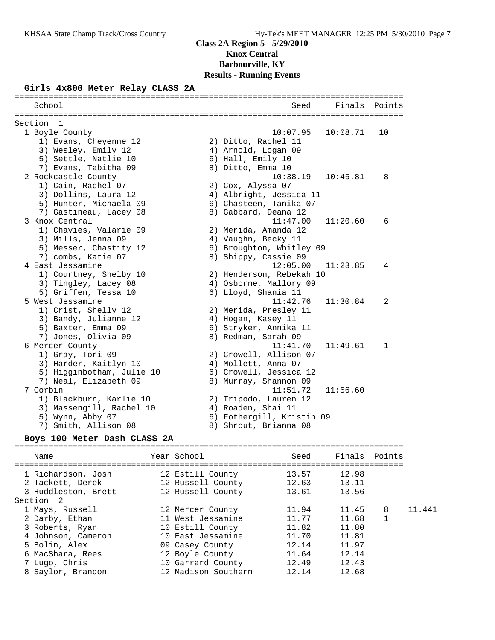### **Girls 4x800 Meter Relay CLASS 2A**

| School                    | Seed                      | Finals   | Points       |
|---------------------------|---------------------------|----------|--------------|
| Section<br>- 1            |                           |          |              |
| 1 Boyle County            | 10:07.95                  | 10:08.71 | 10           |
| 1) Evans, Cheyenne 12     | 2) Ditto, Rachel 11       |          |              |
| 3) Wesley, Emily 12       | 4) Arnold, Logan 09       |          |              |
| 5) Settle, Natlie 10      | 6) Hall, Emily 10         |          |              |
| 7) Evans, Tabitha 09      | 8) Ditto, Emma 10         |          |              |
| 2 Rockcastle County       | 10:38.19                  | 10:45.81 | 8            |
| 1) Cain, Rachel 07        | 2) Cox, Alyssa 07         |          |              |
| 3) Dollins, Laura 12      | 4) Albright, Jessica 11   |          |              |
| 5) Hunter, Michaela 09    | 6) Chasteen, Tanika 07    |          |              |
| 7) Gastineau, Lacey 08    | 8) Gabbard, Deana 12      |          |              |
| 3 Knox Central            | 11:47.00                  | 11:20.60 | 6            |
| 1) Chavies, Valarie 09    | 2) Merida, Amanda 12      |          |              |
| 3) Mills, Jenna 09        | 4) Vaughn, Becky 11       |          |              |
| 5) Messer, Chastity 12    | 6) Broughton, Whitley 09  |          |              |
| 7) combs, Katie 07        | 8) Shippy, Cassie 09      |          |              |
| 4 East Jessamine          | 12:05.00                  | 11:23.85 | 4            |
| 1) Courtney, Shelby 10    | 2) Henderson, Rebekah 10  |          |              |
| 3) Tingley, Lacey 08      | 4) Osborne, Mallory 09    |          |              |
| 5) Griffen, Tessa 10      | 6) Lloyd, Shania 11       |          |              |
| 5 West Jessamine          | 11:42.76                  | 11:30.84 | 2            |
| 1) Crist, Shelly 12       | 2) Merida, Presley 11     |          |              |
| 3) Bandy, Julianne 12     | 4) Hogan, Kasey 11        |          |              |
| 5) Baxter, Emma 09        | 6) Stryker, Annika 11     |          |              |
| 7) Jones, Olivia 09       | 8) Redman, Sarah 09       |          |              |
| 6 Mercer County           | 11:41.70                  | 11:49.61 | $\mathbf{1}$ |
| 1) Gray, Tori 09          | 2) Crowell, Allison 07    |          |              |
| 3) Harder, Kaitlyn 10     | 4) Mollett, Anna 07       |          |              |
| 5) Higginbotham, Julie 10 | 6) Crowell, Jessica 12    |          |              |
| 7) Neal, Elizabeth 09     | 8) Murray, Shannon 09     |          |              |
| 7 Corbin                  | 11:51.72                  | 11:56.60 |              |
| 1) Blackburn, Karlie 10   | 2) Tripodo, Lauren 12     |          |              |
| 3) Massengill, Rachel 10  | 4) Roaden, Shai 11        |          |              |
| 5) Wynn, Abby 07          | 6) Fothergill, Kristin 09 |          |              |
| 7) Smith, Allison 08      | 8) Shrout, Brianna 08     |          |              |

### **Boys 100 Meter Dash CLASS 2A**

# ================================================================================

| Name                | Year School         | Seed  | Finals Points |   |        |
|---------------------|---------------------|-------|---------------|---|--------|
| 1 Richardson, Josh  | 12 Estill County    | 13.57 | 12.98         |   |        |
| 2 Tackett, Derek    | 12 Russell County   | 12.63 | 13.11         |   |        |
| 3 Huddleston, Brett | 12 Russell County   | 13.61 | 13.56         |   |        |
| Section 2           |                     |       |               |   |        |
| 1 Mays, Russell     | 12 Mercer County    | 11.94 | 11.45         | 8 | 11.441 |
| 2 Darby, Ethan      | 11 West Jessamine   | 11.77 | 11.68         |   |        |
| 3 Roberts, Ryan     | 10 Estill County    | 11.82 | 11.80         |   |        |
| 4 Johnson, Cameron  | 10 East Jessamine   | 11.70 | 11.81         |   |        |
| 5 Bolin, Alex       | 09 Casey County     | 12.14 | 11.97         |   |        |
| 6 MacShara, Rees    | 12 Boyle County     | 11.64 | 12.14         |   |        |
| 7 Lugo, Chris       | 10 Garrard County   | 12.49 | 12.43         |   |        |
| 8 Saylor, Brandon   | 12 Madison Southern | 12.14 | 12.68         |   |        |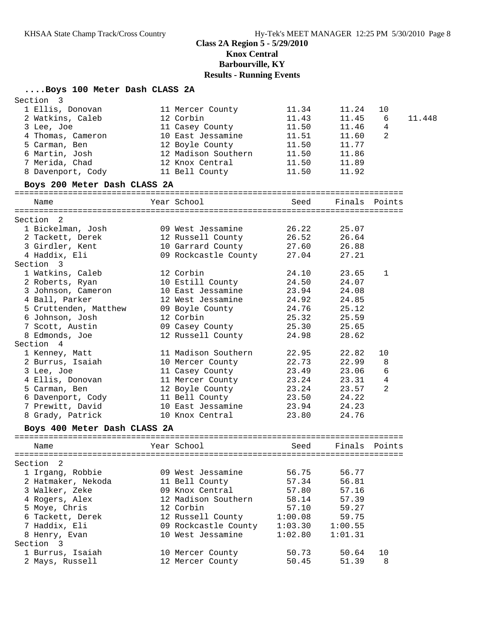# **....Boys 100 Meter Dash CLASS 2A**

| Section<br>$\overline{\phantom{a}}$   |                                     |         |         |               |        |
|---------------------------------------|-------------------------------------|---------|---------|---------------|--------|
| 1 Ellis, Donovan                      | 11 Mercer County                    | 11.34   | 11.24   | 10            |        |
| 2 Watkins, Caleb                      | 12 Corbin                           | 11.43   | 11.45   | 6             | 11.448 |
| 3 Lee, Joe                            | 11 Casey County                     | 11.50   | 11.46   | 4             |        |
| 4 Thomas, Cameron                     | 10 East Jessamine                   | 11.51   | 11.60   | 2             |        |
| 5 Carman, Ben                         | 12 Boyle County                     | 11.50   | 11.77   |               |        |
| 6 Martin, Josh                        | 12 Madison Southern                 | 11.50   | 11.86   |               |        |
| 7 Merida, Chad                        | 12 Knox Central                     | 11.50   | 11.89   |               |        |
| 8 Davenport, Cody                     | 11 Bell County                      | 11.50   | 11.92   |               |        |
| Boys 200 Meter Dash CLASS 2A          |                                     |         |         |               |        |
| Name                                  | Year School                         | Seed    | Finals  | Points        |        |
| Section <sub>2</sub>                  |                                     |         |         |               |        |
| 1 Bickelman, Josh                     | 09 West Jessamine                   | 26.22   | 25.07   |               |        |
| 2 Tackett, Derek                      | 12 Russell County 26.52             |         | 26.64   |               |        |
| 3 Girdler, Kent                       | 10 Garrard County 27.60             |         | 26.88   |               |        |
| 4 Haddix, Eli                         | 09 Rockcastle County 27.04          |         | 27.21   |               |        |
| Section 3                             |                                     |         |         |               |        |
| 1 Watkins, Caleb                      | 12 Corbin                           | 24.10   | 23.65   | 1             |        |
| 2 Roberts, Ryan                       | 10 Estill County                    | 24.50   | 24.07   |               |        |
| 3 Johnson, Cameron                    | 10 East Jessamine                   | 23.94   | 24.08   |               |        |
| 4 Ball, Parker                        | 12 West Jessamine                   | 24.92   | 24.85   |               |        |
| 5 Cruttenden, Matthew 09 Boyle County |                                     | 24.76   | 25.12   |               |        |
| 6 Johnson, Josh                       | 12 Corbin                           | 25.32   | 25.59   |               |        |
| 7 Scott, Austin                       | 09 Casey County                     | 25.30   | 25.65   |               |        |
| 8 Edmonds, Joe                        | 12 Russell County                   | 24.98   | 28.62   |               |        |
| Section 4                             |                                     |         |         |               |        |
| 1 Kenney, Matt                        | 11 Madison Southern                 | 22.95   | 22.82   | 10            |        |
| 2 Burrus, Isaiah                      | 10 Mercer County                    | 22.73   | 22.99   | 8             |        |
| 3 Lee, Joe                            | 11 Casey County                     | 23.49   | 23.06   | 6             |        |
| 4 Ellis, Donovan                      | 11 Mercer County<br>12 Boyle County | 23.24   | 23.31   | 4             |        |
| 5 Carman, Ben                         |                                     | 23.24   | 23.57   | 2             |        |
| 6 Davenport, Cody                     | 11 Bell County                      | 23.50   | 24.22   |               |        |
| 7 Prewitt, David                      | 10 East Jessamine                   | 23.94   | 24.23   |               |        |
| 8 Grady, Patrick                      | 10 Knox Central                     | 23.80   | 24.76   |               |        |
| Boys 400 Meter Dash CLASS 2A          |                                     |         |         |               |        |
| Name                                  | Year School                         | Seed    |         | Finals Points |        |
| Section<br>$\overline{\phantom{0}}^2$ |                                     |         |         |               |        |
| 1 Irgang, Robbie                      | 09 West Jessamine                   | 56.75   | 56.77   |               |        |
| 2 Hatmaker, Nekoda                    | 11 Bell County                      | 57.34   | 56.81   |               |        |
| 3 Walker, Zeke                        | 09 Knox Central                     | 57.80   | 57.16   |               |        |
| 4 Rogers, Alex                        | 12 Madison Southern                 | 58.14   | 57.39   |               |        |
| 5 Moye, Chris                         | 12 Corbin                           | 57.10   | 59.27   |               |        |
| 6 Tackett, Derek                      | 12 Russell County                   | 1:00.08 | 59.75   |               |        |
| 7 Haddix, Eli                         | 09 Rockcastle County                | 1:03.30 | 1:00.55 |               |        |
| 8 Henry, Evan                         | 10 West Jessamine                   | 1:02.80 | 1:01.31 |               |        |
| Section 3                             |                                     |         |         |               |        |
| 1 Burrus, Isaiah                      | 10 Mercer County                    | 50.73   | 50.64   | 10            |        |
| 2 Mays, Russell                       | 12 Mercer County                    | 50.45   | 51.39   | 8             |        |
|                                       |                                     |         |         |               |        |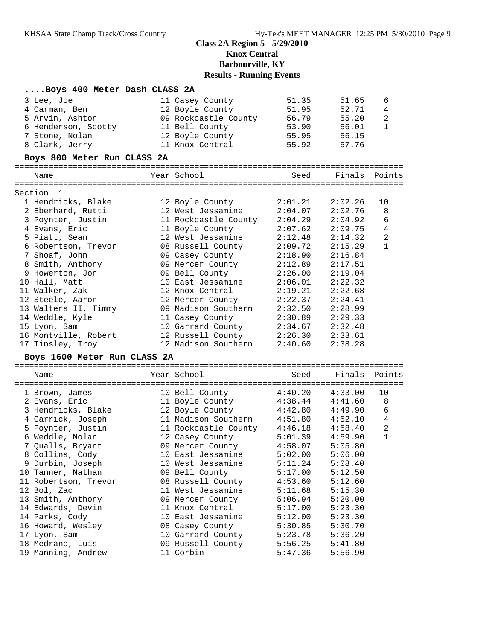### **....Boys 400 Meter Dash CLASS 2A**

| 3 Lee, Joe                   | 11 Casey County                      | 51.35               | 51.65         | 6              |
|------------------------------|--------------------------------------|---------------------|---------------|----------------|
| 4 Carman, Ben                | 12 Boyle County                      | 51.95               | 52.71         | 4              |
| 5 Arvin, Ashton              | 09 Rockcastle County                 | 56.79               | 55.20         | $\overline{c}$ |
| 6 Henderson, Scotty          | 11 Bell County                       | 53.90               | 56.01         | $\mathbf{1}$   |
| 7 Stone, Nolan               | 12 Boyle County                      | 55.95               | 56.15         |                |
| 8 Clark, Jerry               | 11 Knox Central                      | 55.92               | 57.76         |                |
| Boys 800 Meter Run CLASS 2A  |                                      |                     |               |                |
| Name                         | Year School                          | Seed                | Finals Points |                |
|                              |                                      |                     |               |                |
| Section 1                    |                                      |                     |               |                |
| 1 Hendricks, Blake           | 12 Boyle County                      | 2:01.21             | 2:02.26       | 10             |
| 2 Eberhard, Rutti            | 12 West Jessamine                    | 2:04.07             | 2:02.76       | 8              |
| 3 Poynter, Justin            | 11 Rockcastle County 2:04.29         |                     | 2:04.92       | 6              |
| 4 Evans, Eric                | 11 Boyle County                      | 2:07.62             | 2:09.75       | 4              |
| 5 Piatt, Sean                | 12 West Jessamine                    | 2:12.48             | 2:14.32       | $\overline{2}$ |
| 6 Robertson, Trevor          | 08 Russell County                    | 2:09.72             | 2:15.29       | $\mathbf{1}$   |
| 7 Shoaf, John                | 09 Casey County                      | 2:18.90             | 2:16.84       |                |
| 8 Smith, Anthony             | 09 Mercer County                     | 2:12.89             | 2:17.51       |                |
| 9 Howerton, Jon              | 09 Bell County                       | 2:26.00             | 2:19.04       |                |
| 10 Hall, Matt                | 10 East Jessamine                    | 2:06.01             | 2:22.32       |                |
| 11 Walker, Zak               | 12 Knox Central                      | 2:19.21             | 2:22.68       |                |
| 12 Steele, Aaron             | 12 Mercer County                     | 2:22.37             | 2:24.41       |                |
| 13 Walters II, Timmy         | 09 Madison Southern 2:32.50          |                     | 2:28.99       |                |
| 14 Weddle, Kyle              | 11 Casey County                      | 2:30.89             | 2:29.33       |                |
| 15 Lyon, Sam                 | 10 Garrard County                    | 2:34.67             | 2:32.48       |                |
| 16 Montville, Robert         | 12 Russell County                    | 2:26.30             | 2:33.61       |                |
| 17 Tinsley, Troy             | 12 Madison Southern                  | 2:40.60             | 2:38.28       |                |
| Boys 1600 Meter Run CLASS 2A |                                      |                     |               |                |
| Name                         | Year School                          | Seed                | Finals        | Points         |
|                              | 10 Bell County                       | 4:40.20             | 4:33.00       | 10             |
| 1 Brown, James               |                                      | $4:38.44$ $4:41.60$ |               | 8              |
| 2 Evans, Eric                | 11 Boyle County                      |                     |               |                |
| 3 Hendricks, Blake           | 12 Boyle County 4:42.80 4:49.90      |                     |               | $\sqrt{6}$     |
| 4 Carrick, Joseph            | 11 Madison Southern 4:51.80          |                     | 4:52.10       | $\overline{4}$ |
| 5 Poynter, Justin            | 11 Rockcastle County 4:46.18 4:58.40 |                     |               | $\overline{a}$ |
| 6 Weddle, Nolan              | 12 Casey County                      | 5:01.39             | 4:59.90       | $\mathbf 1$    |

 7 Qualls, Bryant 09 Mercer County 4:58.07 5:05.80 8 Collins, Cody 10 East Jessamine 5:02.00 5:06.00 9 Durbin, Joseph 10 West Jessamine 5:11.24 5:08.40 10 Tanner, Nathan 09 Bell County 5:17.00 5:12.50 11 Robertson, Trevor 08 Russell County 4:53.60 5:12.60 12 Bol, Zac 11 West Jessamine 5:11.68 5:15.30 13 Smith, Anthony 09 Mercer County 5:06.94 5:20.00 14 Edwards, Devin 11 Knox Central 5:17.00 5:23.30 14 Parks, Cody 10 East Jessamine 5:12.00 5:23.30 16 Howard, Wesley 08 Casey County 5:30.85 5:30.70 17 Lyon, Sam 10 Garrard County 5:23.78 5:36.20 18 Medrano, Luis 09 Russell County 5:56.25 5:41.80 19 Manning, Andrew 11 Corbin 5:47.36 5:56.90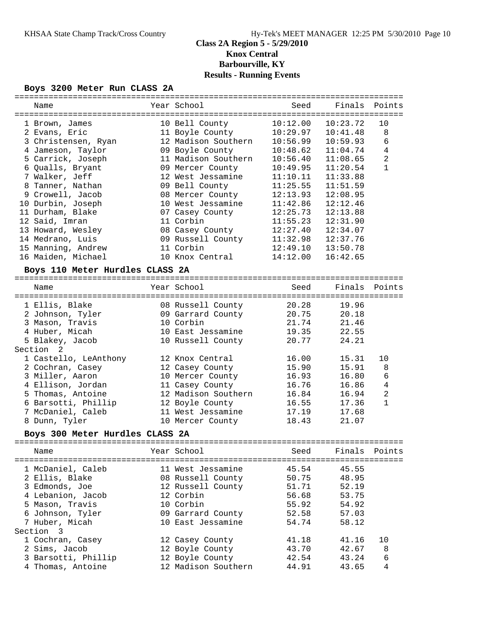### **Boys 3200 Meter Run CLASS 2A**

| ------------------------------  |                     | -------------------------------------- |          |                |
|---------------------------------|---------------------|----------------------------------------|----------|----------------|
| Name                            | Year School         | Seed                                   | Finals   | Points         |
| 1 Brown, James                  | 10 Bell County      | 10:12.00                               | 10:23.72 | 10             |
| 2 Evans, Eric                   | 11 Boyle County     | 10:29.97                               | 10:41.48 | 8              |
| 3 Christensen, Ryan             | 12 Madison Southern | 10:56.99                               | 10:59.93 | 6              |
| 4 Jameson, Taylor               | 09 Boyle County     | 10:48.62                               | 11:04.74 | 4              |
| 5 Carrick, Joseph               | 11 Madison Southern | 10:56.40                               | 11:08.65 | $\overline{2}$ |
| 6 Qualls, Bryant                | 09 Mercer County    | 10:49.95                               | 11:20.54 | $\mathbf{1}$   |
| 7 Walker, Jeff                  | 12 West Jessamine   | 11:10.11                               | 11:33.88 |                |
| 8 Tanner, Nathan                | 09 Bell County      | 11:25.55                               | 11:51.59 |                |
| 9 Crowell, Jacob                | 08 Mercer County    | 12:13.93                               | 12:08.95 |                |
| 10 Durbin, Joseph               | 10 West Jessamine   | 11:42.86                               | 12:12.46 |                |
| 11 Durham, Blake                | 07 Casey County     | 12:25.73                               | 12:13.88 |                |
| 12 Said, Imran                  | 11 Corbin           | 11:55.23                               | 12:31.90 |                |
| 13 Howard, Wesley               | 08 Casey County     | 12:27.40                               | 12:34.07 |                |
| 14 Medrano, Luis                | 09 Russell County   | 11:32.98                               | 12:37.76 |                |
| 15 Manning, Andrew              | 11 Corbin           | 12:49.10                               | 13:50.78 |                |
| 16 Maiden, Michael              | 10 Knox Central     | 14:12.00                               | 16:42.65 |                |
| Boys 110 Meter Hurdles CLASS 2A |                     |                                        |          |                |
|                                 |                     |                                        |          |                |
| Name                            | Year School         | Seed                                   | Finals   | Points         |
| 1 Ellis, Blake                  | 08 Russell County   | 20.28                                  | 19.96    |                |
| 2 Johnson, Tyler                | 09 Garrard County   | 20.75                                  | 20.18    |                |
| 3 Mason, Travis                 | 10 Corbin           | 21.74                                  | 21.46    |                |
| 4 Huber, Micah                  | 10 East Jessamine   | 19.35                                  | 22.55    |                |
| 5 Blakey, Jacob                 | 10 Russell County   | 20.77                                  | 24.21    |                |
| Section <sub>2</sub>            |                     |                                        |          |                |
| 1 Castello, LeAnthony           | 12 Knox Central     | 16.00                                  | 15.31    | 10             |
| 2 Cochran, Casey                | 12 Casey County     | 15.90                                  | 15.91    | 8              |
| 3 Miller, Aaron                 | 10 Mercer County    | 16.93                                  | 16.80    | 6              |
| 4 Ellison, Jordan               | 11 Casey County     | 16.76                                  | 16.86    | $\overline{4}$ |
| 5 Thomas, Antoine               | 12 Madison Southern | 16.84                                  | 16.94    | $\overline{2}$ |
| 6 Barsotti, Phillip             | 12 Boyle County     | 16.55                                  | 17.36    | $\mathbf{1}$   |
| 7 McDaniel, Caleb               | 11 West Jessamine   | 17.19                                  | 17.68    |                |
| 8 Dunn, Tyler                   | 10 Mercer County    | 18.43                                  | 21.07    |                |

## **Boys 300 Meter Hurdles CLASS 2A**

| Name                                                                                                                                | Year School                                                                                                                     | Seed                                                        | Finals Points                                               |                   |  |  |
|-------------------------------------------------------------------------------------------------------------------------------------|---------------------------------------------------------------------------------------------------------------------------------|-------------------------------------------------------------|-------------------------------------------------------------|-------------------|--|--|
| 1 McDaniel, Caleb<br>2 Ellis, Blake<br>3 Edmonds, Joe<br>4 Lebanion, Jacob<br>5 Mason, Travis<br>6 Johnson, Tyler<br>7 Huber, Micah | 11 West Jessamine<br>08 Russell County<br>12 Russell County<br>12 Corbin<br>10 Corbin<br>09 Garrard County<br>10 East Jessamine | 45.54<br>50.75<br>51.71<br>56.68<br>55.92<br>52.58<br>54.74 | 45.55<br>48.95<br>52.19<br>53.75<br>54.92<br>57.03<br>58.12 |                   |  |  |
| Section 3                                                                                                                           |                                                                                                                                 |                                                             |                                                             |                   |  |  |
| 1 Cochran, Casey<br>2 Sims, Jacob<br>3 Barsotti, Phillip<br>4 Thomas, Antoine                                                       | 12 Casey County<br>12 Boyle County<br>12 Boyle County<br>12 Madison Southern                                                    | 41.18<br>43.70<br>42.54<br>44.91                            | 41.16<br>42.67<br>43.24<br>43.65                            | 10<br>8<br>6<br>4 |  |  |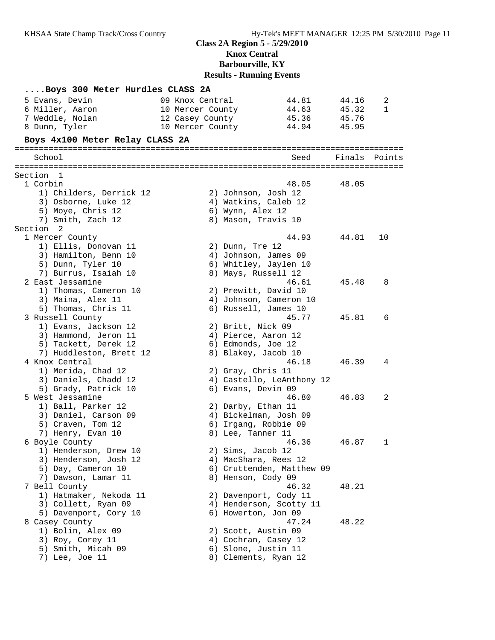| Boys 300 Meter Hurdles CLASS 2A          |                         |                           |        |        |
|------------------------------------------|-------------------------|---------------------------|--------|--------|
| 5 Evans, Devin                           | 09 Knox Central         | 44.81                     | 44.16  | 2      |
| 6 Miller, Aaron                          | 10 Mercer County        | 44.63                     | 45.32  | 1      |
| 7 Weddle, Nolan                          | 12 Casey County         | 45.36                     | 45.76  |        |
| 8 Dunn, Tyler                            | 10 Mercer County        | 44.94                     | 45.95  |        |
| Boys 4x100 Meter Relay CLASS 2A          |                         |                           |        |        |
|                                          |                         | =======================   |        |        |
| School                                   |                         | Seed                      | Finals | Points |
| Section 1                                |                         |                           |        |        |
| 1 Corbin                                 |                         | 48.05                     | 48.05  |        |
| 1) Childers, Derrick 12                  | 2) Johnson, Josh 12     |                           |        |        |
| 3) Osborne, Luke 12                      | 4) Watkins, Caleb 12    |                           |        |        |
| 5) Moye, Chris 12                        | 6) Wynn, Alex 12        |                           |        |        |
| 7) Smith, Zach 12                        | 8) Mason, Travis 10     |                           |        |        |
| Section 2                                |                         |                           |        |        |
| 1 Mercer County                          |                         | 44.93                     | 44.81  | 10     |
| 1) Ellis, Donovan 11                     | 2) Dunn, Tre 12         |                           |        |        |
| 3) Hamilton, Benn 10                     | 4) Johnson, James 09    |                           |        |        |
| 5) Dunn, Tyler 10                        | 6) Whitley, Jaylen 10   |                           |        |        |
| 7) Burrus, Isaiah 10<br>2 East Jessamine | 8) Mays, Russell 12     | 46.61                     | 45.48  | 8      |
| 1) Thomas, Cameron 10                    | 2) Prewitt, David 10    |                           |        |        |
| 3) Maina, Alex 11                        | 4) Johnson, Cameron 10  |                           |        |        |
| 5) Thomas, Chris 11                      | 6) Russell, James 10    |                           |        |        |
| 3 Russell County                         |                         | 45.77                     | 45.81  | 6      |
| 1) Evans, Jackson 12                     | 2) Britt, Nick 09       |                           |        |        |
| 3) Hammond, Jeron 11                     | 4) Pierce, Aaron 12     |                           |        |        |
| 5) Tackett, Derek 12                     | 6) Edmonds, Joe 12      |                           |        |        |
| 7) Huddleston, Brett 12                  | 8) Blakey, Jacob 10     |                           |        |        |
| 4 Knox Central                           |                         | 46.18                     | 46.39  | 4      |
| 1) Merida, Chad 12                       | 2) Gray, Chris 11       |                           |        |        |
| 3) Daniels, Chadd 12                     |                         | 4) Castello, LeAnthony 12 |        |        |
| 5) Grady, Patrick 10<br>5 West Jessamine | 6) Evans, Devin 09      | 46.80                     | 46.83  | 2      |
| 1) Ball, Parker 12                       | 2) Darby, Ethan 11      |                           |        |        |
| 3) Daniel, Carson 09                     | 4) Bickelman, Josh 09   |                           |        |        |
| 5) Craven, Tom 12                        | 6) Irgang, Robbie 09    |                           |        |        |
| 7) Henry, Evan 10                        | 8) Lee, Tanner 11       |                           |        |        |
| 6 Boyle County                           |                         | 46.36                     | 46.87  | 1      |
| 1) Henderson, Drew 10                    | 2) Sims, Jacob 12       |                           |        |        |
| 3) Henderson, Josh 12                    | 4) MacShara, Rees 12    |                           |        |        |
| 5) Day, Cameron 10                       |                         | 6) Cruttenden, Matthew 09 |        |        |
| 7) Dawson, Lamar 11                      | 8) Henson, Cody 09      |                           |        |        |
| 7 Bell County                            |                         | 46.32                     | 48.21  |        |
| 1) Hatmaker, Nekoda 11                   | 2) Davenport, Cody 11   |                           |        |        |
| 3) Collett, Ryan 09                      | 4) Henderson, Scotty 11 |                           |        |        |
| 5) Davenport, Cory 10                    | 6) Howerton, Jon 09     | 47.24                     | 48.22  |        |
| 8 Casey County<br>1) Bolin, Alex 09      | 2) Scott, Austin 09     |                           |        |        |
| 3) Roy, Corey 11                         | 4) Cochran, Casey 12    |                           |        |        |
| 5) Smith, Micah 09                       | 6) Slone, Justin 11     |                           |        |        |
| 7) Lee, Joe 11                           | 8) Clements, Ryan 12    |                           |        |        |
|                                          |                         |                           |        |        |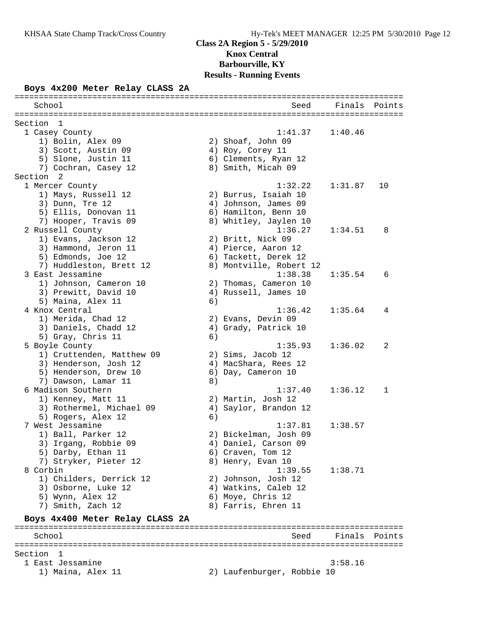## **Class 2A Region 5 - 5/29/2010 Knox Central Barbourville, KY**

# **Results - Running Events**

================================================================================

### **Boys 4x200 Meter Relay CLASS 2A**

| School                           |    | Seed                       | Finals        | Points |
|----------------------------------|----|----------------------------|---------------|--------|
| Section<br>1                     |    |                            |               |        |
| 1 Casey County                   |    | 1:41.37                    | 1:40.46       |        |
| 1) Bolin, Alex 09                |    | 2) Shoaf, John 09          |               |        |
| 3) Scott, Austin 09              |    | 4) Roy, Corey 11           |               |        |
| 5) Slone, Justin 11              |    | 6) Clements, Ryan 12       |               |        |
| 7) Cochran, Casey 12             |    | 8) Smith, Micah 09         |               |        |
| Section 2                        |    |                            |               |        |
| 1 Mercer County                  |    | 1:32.22                    | 1:31.87       | 10     |
| 1) Mays, Russell 12              |    | 2) Burrus, Isaiah 10       |               |        |
| 3) Dunn, Tre 12                  |    | 4) Johnson, James 09       |               |        |
| 5) Ellis, Donovan 11             |    | 6) Hamilton, Benn 10       |               |        |
| 7) Hooper, Travis 09             |    | 8) Whitley, Jaylen 10      |               |        |
| 2 Russell County                 |    | 1:36.27                    | 1:34.51       | 8      |
| 1) Evans, Jackson 12             |    | 2) Britt, Nick 09          |               |        |
| 3) Hammond, Jeron 11             |    | 4) Pierce, Aaron 12        |               |        |
| 5) Edmonds, Joe 12               |    | 6) Tackett, Derek 12       |               |        |
| 7) Huddleston, Brett 12          |    | 8) Montville, Robert 12    |               |        |
| 3 East Jessamine                 |    | 1:38.38                    | 1:35.54       | 6      |
| 1) Johnson, Cameron 10           |    | 2) Thomas, Cameron 10      |               |        |
| 3) Prewitt, David 10             |    | 4) Russell, James 10       |               |        |
| 5) Maina, Alex 11                | 6) |                            |               |        |
| 4 Knox Central                   |    | 1:36.42                    | 1:35.64       | 4      |
| 1) Merida, Chad 12               |    | 2) Evans, Devin 09         |               |        |
| 3) Daniels, Chadd 12             |    | 4) Grady, Patrick 10       |               |        |
| 5) Gray, Chris 11                | 6) |                            |               |        |
| 5 Boyle County                   |    | 1:35.93                    | 1:36.02       | 2      |
| 1) Cruttenden, Matthew 09        |    | 2) Sims, Jacob 12          |               |        |
| 3) Henderson, Josh 12            |    | 4) MacShara, Rees 12       |               |        |
| 5) Henderson, Drew 10            |    | 6) Day, Cameron 10         |               |        |
| 7) Dawson, Lamar 11              | 8) |                            |               |        |
| 6 Madison Southern               |    | 1:37.40                    | 1:36.12       | 1      |
| 1) Kenney, Matt 11               |    | 2) Martin, Josh 12         |               |        |
| 3) Rothermel, Michael 09         |    | 4) Saylor, Brandon 12      |               |        |
| 5) Rogers, Alex 12               | 6) |                            |               |        |
| 7 West Jessamine                 |    | 1:37.81                    | 1:38.57       |        |
| 1) Ball, Parker 12               |    | 2) Bickelman, Josh 09      |               |        |
| 3) Irgang, Robbie 09             |    | 4) Daniel, Carson 09       |               |        |
| 5) Darby, Ethan 11               |    | 6) Craven, Tom 12          |               |        |
| 7) Stryker, Pieter 12            |    | 8) Henry, Evan 10          |               |        |
| 8 Corbin                         |    | 1:39.55                    | 1:38.71       |        |
| 1) Childers, Derrick 12          |    | 2) Johnson, Josh 12        |               |        |
| 3) Osborne, Luke 12              |    | 4) Watkins, Caleb 12       |               |        |
| 5) Wynn, Alex 12                 |    | 6) Moye, Chris 12          |               |        |
| 7) Smith, Zach 12                |    | 8) Farris, Ehren 11        |               |        |
| Boys 4x400 Meter Relay CLASS 2A  |    |                            |               |        |
| School                           |    | Seed                       | Finals Points |        |
|                                  |    |                            |               |        |
| Section<br>1<br>1 East Jessamine |    |                            | 3:58.16       |        |
| 1) Maina, Alex 11                |    | 2) Laufenburger, Robbie 10 |               |        |
|                                  |    |                            |               |        |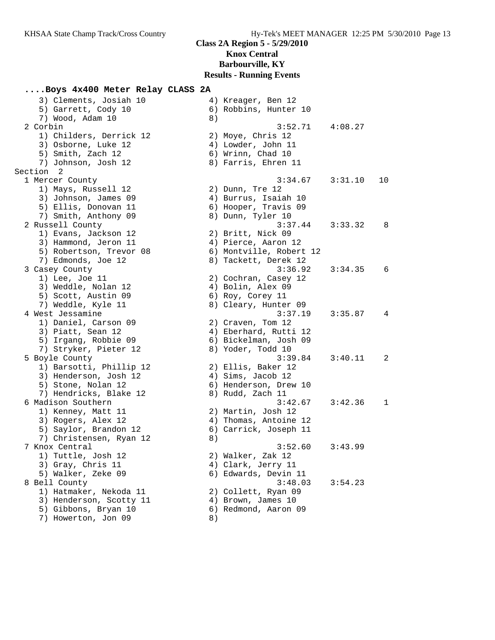### **....Boys 4x400 Meter Relay CLASS 2A** 3) Clements, Josiah 10 4) Kreager, Ben 12 5) Garrett, Cody 10 (6) Robbins, Hunter 10 7) Wood, Adam 10 8) 2 Corbin 3:52.71 4:08.27 1) Childers, Derrick 12 3) Osborne, Luke 12 5) Smith, Zach 12 7) Johnson, Josh 12 Section 2 1 Mercer County 1) Mays, Russell 12 3) Johnson, James 09 5) Ellis, Donovan 11 7) Smith, Anthony 09 2 Russell County 1) Evans, Jackson 12 3) Hammond, Jeron 11 5) Robertson, Trevor 08 7) Edmonds, Joe 12 3 Casey County  $1)$  Lee, Joe 11 3) Weddle, Nolan 12 5) Scott, Austin 09 7) Weddle, Kyle 11 4 West Jessamine 1) Daniel, Carson 09 3) Piatt, Sean 12 5) Irgang, Robbie 09 7) Stryker, Pieter 12 5 Boyle County 1) Barsotti, Phillip 12 3) Henderson, Josh 12 5) Stone, Nolan 12 7) Hendricks, Blake 12 6 Madison Southern 1) Kenney, Matt 11 3) Rogers, Alex 12 5) Saylor, Brandon 12 7) Christensen, Ryan 12 7 Knox Central 1) Tuttle, Josh 12 3) Gray, Chris 11 5) Walker, Zeke 09 8 Bell County 1) Hatmaker, Nekoda 11 3) Henderson, Scotty 11 5) Gibbons, Bryan 10 7) Howerton, Jon 09

| 8)       |                         |              |     |
|----------|-------------------------|--------------|-----|
|          | $3:52.71$ $4:08.27$     |              |     |
|          | 2) Moye, Chris 12       |              |     |
|          | 4) Lowder, John 11      |              |     |
|          | 6) Wrinn, Chad 10       |              |     |
|          | 8) Farris, Ehren 11     |              |     |
|          |                         |              |     |
|          | 3:34.67                 | $3:31.10$ 10 |     |
| 2)       | Dunn, Tre 12            |              |     |
|          | 4) Burrus, Isaiah 10    |              |     |
|          | 6) Hooper, Travis 09    |              |     |
|          | 8) Dunn, Tyler 10       |              |     |
|          | $3:37.44$ $3:33.32$     |              | - 8 |
| 2)       | Britt, Nick 09          |              |     |
|          | 4) Pierce, Aaron 12     |              |     |
|          | 6) Montville, Robert 12 |              |     |
|          | 8) Tackett, Derek 12    |              |     |
|          | $3:36.92$ $3:34.35$     |              | 6   |
|          | 2) Cochran, Casey 12    |              |     |
|          | 4) Bolin, Alex 09       |              |     |
|          | 6) Roy, Corey 11        |              |     |
|          | 8) Cleary, Hunter 09    |              |     |
|          | 3:37.19                 | 3:35.87      | 4   |
|          | 2) Craven, Tom 12       |              |     |
|          | 4) Eberhard, Rutti 12   |              |     |
|          | 6) Bickelman, Josh 09   |              |     |
|          | 8) Yoder, Todd 10       |              |     |
|          | 3:39.84                 | 3:40.11      | 2   |
|          | 2) Ellis, Baker 12      |              |     |
|          | 4) Sims, Jacob 12       |              |     |
|          | 6) Henderson, Drew 10   |              |     |
| 8)       | Rudd, Zach 11           |              |     |
|          | 3:42.67                 | 3:42.36      | 1   |
|          | 2) Martin, Josh 12      |              |     |
|          | 4) Thomas, Antoine 12   |              |     |
|          | 6) Carrick, Joseph 11   |              |     |
| 8)       |                         |              |     |
|          | 3:52.60                 | 3:43.99      |     |
|          | 2) Walker, Zak 12       |              |     |
|          | 4) Clark, Jerry 11      |              |     |
| 6)       | Edwards, Devin 11       |              |     |
|          | 3:48.03                 | 3:54.23      |     |
|          | 2) Collett, Ryan 09     |              |     |
|          | 4) Brown, James 10      |              |     |
| 6)       | Redmond, Aaron 09       |              |     |
| $R \cup$ |                         |              |     |